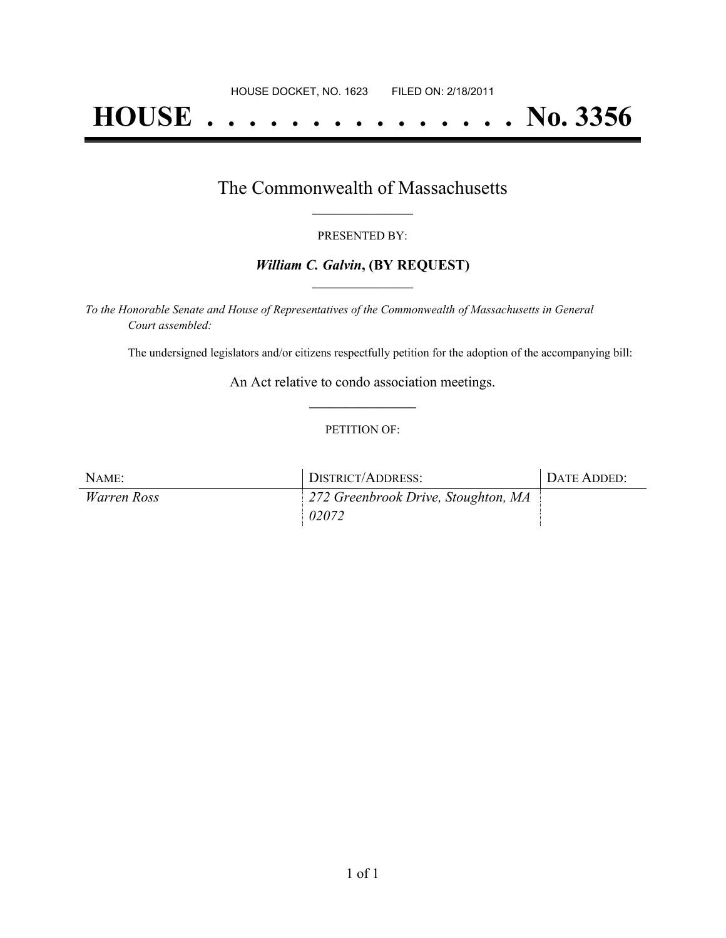# **HOUSE . . . . . . . . . . . . . . . No. 3356**

### The Commonwealth of Massachusetts **\_\_\_\_\_\_\_\_\_\_\_\_\_\_\_\_\_**

#### PRESENTED BY:

#### *William C. Galvin***, (BY REQUEST) \_\_\_\_\_\_\_\_\_\_\_\_\_\_\_\_\_**

*To the Honorable Senate and House of Representatives of the Commonwealth of Massachusetts in General Court assembled:*

The undersigned legislators and/or citizens respectfully petition for the adoption of the accompanying bill:

An Act relative to condo association meetings. **\_\_\_\_\_\_\_\_\_\_\_\_\_\_\_**

#### PETITION OF:

| NAME:       | DISTRICT/ADDRESS:                   | DATE ADDED: |
|-------------|-------------------------------------|-------------|
| Warren Ross | 272 Greenbrook Drive, Stoughton, MA |             |
|             | 02072                               |             |